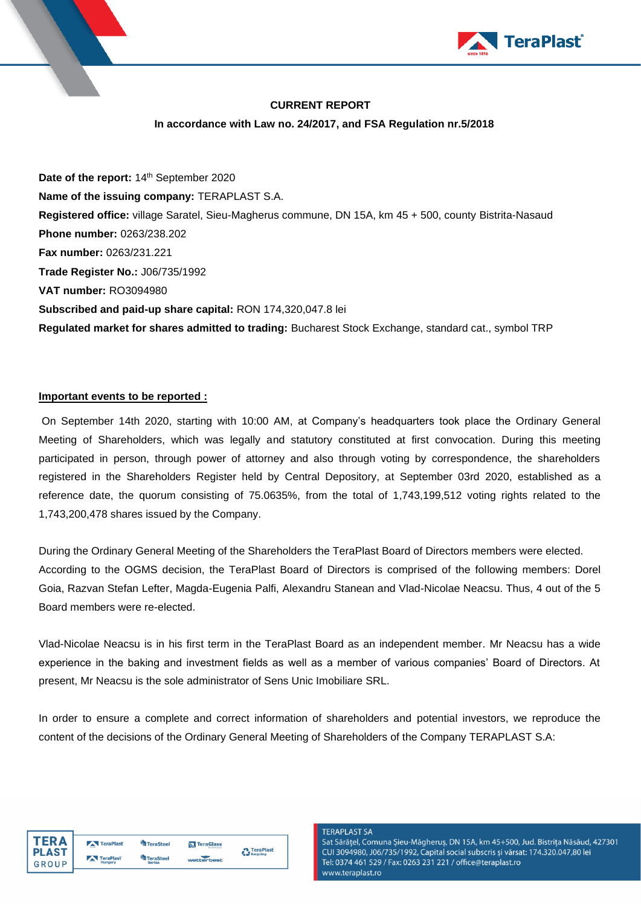

## **CURRENT REPORT**

#### **In accordance with Law no. 24/2017, and FSA Regulation nr.5/2018**

Date of the report: 14<sup>th</sup> September 2020 **Name of the issuing company:** TERAPLAST S.A. **Registered office:** village Saratel, Sieu-Magherus commune, DN 15A, km 45 + 500, county Bistrita-Nasaud **Phone number:** 0263/238.202 **Fax number:** 0263/231.221 **Trade Register No.:** J06/735/1992 **VAT number:** RO3094980 **Subscribed and paid-up share capital:** RON 174,320,047.8 lei **Regulated market for shares admitted to trading:** Bucharest Stock Exchange, standard cat., symbol TRP

#### **Important events to be reported :**

On September 14th 2020, starting with 10:00 AM, at Company's headquarters took place the Ordinary General Meeting of Shareholders, which was legally and statutory constituted at first convocation. During this meeting participated in person, through power of attorney and also through voting by correspondence, the shareholders registered in the Shareholders Register held by Central Depository, at September 03rd 2020, established as a reference date, the quorum consisting of 75.0635%, from the total of 1,743,199,512 voting rights related to the 1,743,200,478 shares issued by the Company.

During the Ordinary General Meeting of the Shareholders the TeraPlast Board of Directors members were elected. According to the OGMS decision, the TeraPlast Board of Directors is comprised of the following members: Dorel Goia, Razvan Stefan Lefter, Magda-Eugenia Palfi, Alexandru Stanean and Vlad-Nicolae Neacsu. Thus, 4 out of the 5 Board members were re-elected.

Vlad-Nicolae Neacsu is in his first term in the TeraPlast Board as an independent member. Mr Neacsu has a wide experience in the baking and investment fields as well as a member of various companies' Board of Directors. At present, Mr Neacsu is the sole administrator of Sens Unic Imobiliare SRL.

In order to ensure a complete and correct information of shareholders and potential investors, we reproduce the content of the decisions of the Ordinary General Meeting of Shareholders of the Company TERAPLAST S.A:



|  | TeraPlast            | TeraSteel                  | TeraGlass  | TeraPlast |
|--|----------------------|----------------------------|------------|-----------|
|  | TeraPlast<br>Hungary | <b>TeraSteel</b><br>Serhia | wetterbest | Recycling |

**TERAPLAST SA** Sat Sărățel, Comuna Șieu-Măgheruș, DN 15A, km 45+500, Jud. Bistrița Năsăud, 427301 CUI 3094980, J06/735/1992, Capital social subscris și vărsat: 174.320.047,80 lei Tel: 0374 461 529 / Fax: 0263 231 221 / office@teraplast.ro www.teraplast.ro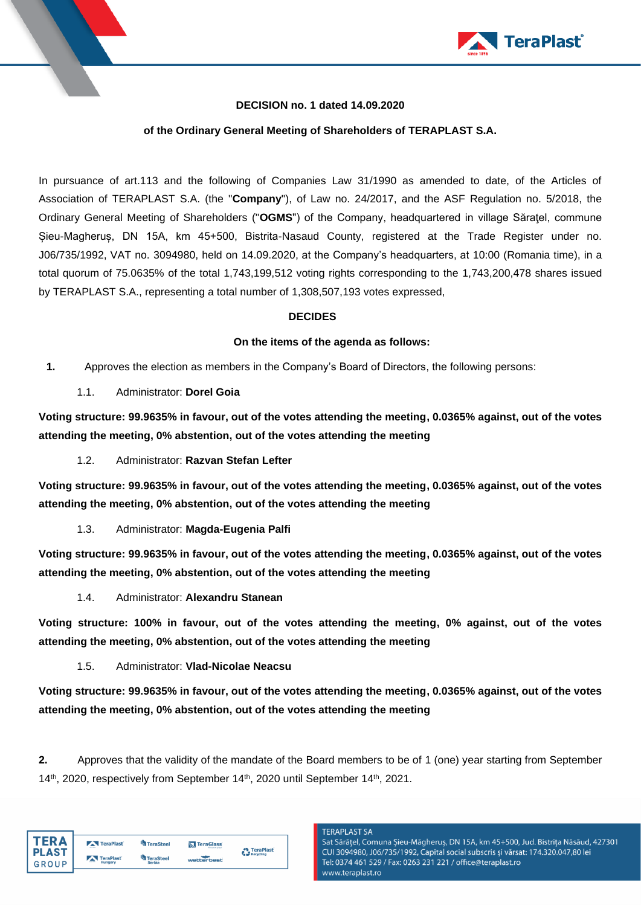

### **DECISION no. 1 dated 14.09.2020**

### **of the Ordinary General Meeting of Shareholders of TERAPLAST S.A.**

In pursuance of art.113 and the following of Companies Law 31/1990 as amended to date, of the Articles of Association of TERAPLAST S.A. (the "**Company**"), of Law no. 24/2017, and the ASF Regulation no. 5/2018, the Ordinary General Meeting of Shareholders ("**OGMS**") of the Company, headquartered in village Săraţel, commune Șieu-Magheruș, DN 15A, km 45+500, Bistrita-Nasaud County, registered at the Trade Register under no. J06/735/1992, VAT no. 3094980, held on 14.09.2020, at the Company's headquarters, at 10:00 (Romania time), in a total quorum of 75.0635% of the total 1,743,199,512 voting rights corresponding to the 1,743,200,478 shares issued by TERAPLAST S.A., representing a total number of 1,308,507,193 votes expressed,

#### **DECIDES**

#### **On the items of the agenda as follows:**

- **1.** Approves the election as members in the Company's Board of Directors, the following persons:
	- 1.1. Administrator: **Dorel Goia**

**Voting structure: 99.9635% in favour, out of the votes attending the meeting, 0.0365% against, out of the votes attending the meeting, 0% abstention, out of the votes attending the meeting**

1.2. Administrator: **Razvan Stefan Lefter**

**Voting structure: 99.9635% in favour, out of the votes attending the meeting, 0.0365% against, out of the votes attending the meeting, 0% abstention, out of the votes attending the meeting**

1.3. Administrator: **Magda-Eugenia Palfi**

**Voting structure: 99.9635% in favour, out of the votes attending the meeting, 0.0365% against, out of the votes attending the meeting, 0% abstention, out of the votes attending the meeting**

1.4. Administrator: **Alexandru Stanean**

**Voting structure: 100% in favour, out of the votes attending the meeting, 0% against, out of the votes attending the meeting, 0% abstention, out of the votes attending the meeting**

1.5. Administrator: **Vlad-Nicolae Neacsu**

**Voting structure: 99.9635% in favour, out of the votes attending the meeting, 0.0365% against, out of the votes attending the meeting, 0% abstention, out of the votes attending the meeting**

**2.** Approves that the validity of the mandate of the Board members to be of 1 (one) year starting from September 14<sup>th</sup>, 2020, respectively from September 14<sup>th</sup>, 2020 until September 14<sup>th</sup>, 2021.

| FD A         | TeraPlast      | TeraSteel        | <b>N</b> TeraGlass |                                  |
|--------------|----------------|------------------|--------------------|----------------------------------|
| <b>PLAST</b> | TeraPlast      | <b>TeraSteel</b> |                    | <b>**</b> TeraPlast<br>Recycling |
| GROUP        | $-$<br>Hungary | Serbia           | wetterbest         |                                  |

# **TERAPLAST SA**

Sat Sărățel, Comuna Șieu-Măgheruș, DN 15A, km 45+500, Jud. Bistrița Năsăud, 427301 CUI 3094980, J06/735/1992, Capital social subscris și vărsat: 174.320.047,80 lei Tel: 0374 461 529 / Fax: 0263 231 221 / office@teraplast.ro www.teraplast.ro